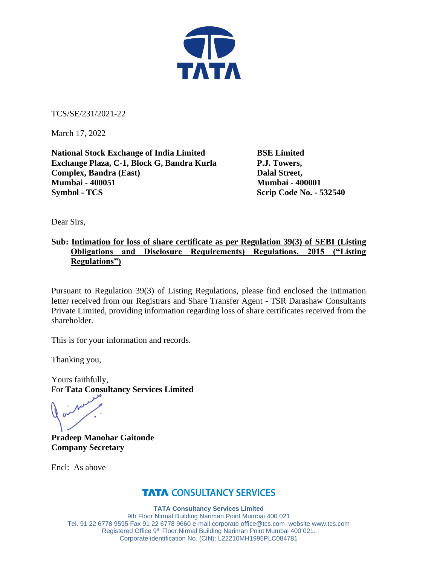

TCS/SE/231/2021-22

March 17, 2022

**National Stock Exchange of India Limited BSE Limited Exchange Plaza, C-1, Block G, Bandra Kurla P.J. Towers, Complex, Bandra (East)** Dalal Street, **Mumbai - 400051 Mumbai - 400001 Symbol - TCS Scrip Code No. - 532540** 

Dear Sirs,

### **Sub: Intimation for loss of share certificate as per Regulation 39(3) of SEBI (Listing Obligations and Disclosure Requirements) Regulations, 2015 ("Listing Regulations")**

Pursuant to Regulation 39(3) of Listing Regulations, please find enclosed the intimation letter received from our Registrars and Share Transfer Agent - TSR Darashaw Consultants Private Limited, providing information regarding loss of share certificates received from the shareholder.

This is for your information and records.

Thanking you,

Yours faithfully, For **Tata Consultancy Services Limited**

**Pradeep Manohar Gaitonde Company Secretary**

Encl: As above

# **TATA CONSULTANCY SERVICES**

**TATA Consultancy Services Limited** 9th Floor Nirmal Building Nariman Point Mumbai 400 021 Tel. 91 22 6778 9595 Fax 91 22 6778 9660 e-mail [corporate.office@tcs.com](mailto:corporate.office@tcs.com) website www.tcs.com Registered Office 9<sup>th</sup> Floor Nirmal Building Nariman Point Mumbai 400 021. Corporate identification No. (CIN): L22210MH1995PLC084781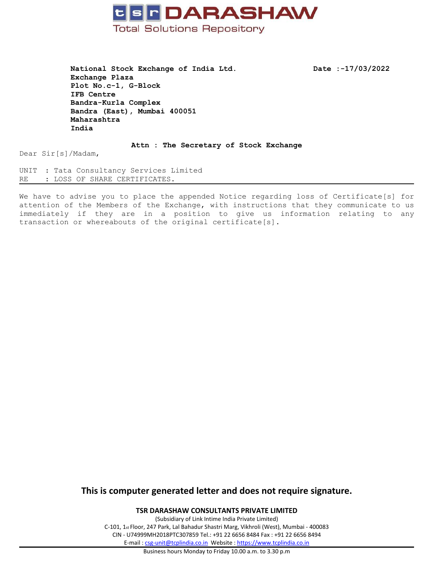

**National Stock Exchange of India Ltd. Date :-17/03/2022 Exchange Plaza Plot No.c-1, G-Block IFB Centre Bandra-Kurla Complex Bandra (East), Mumbai 400051 Maharashtra India**

#### **Attn : The Secretary of Stock Exchange**

Dear Sir[s]/Madam,

UNIT : Tata Consultancy Services Limited RE : LOSS OF SHARE CERTIFICATES.

We have to advise you to place the appended Notice regarding loss of Certificate[s] for attention of the Members of the Exchange, with instructions that they communicate to us immediately if they are in <sup>a</sup> position to give us information relating to any transaction or whereabouts of the original certificate[s].

### **This is computer generated letter and does not require signature.**

**TSR DARASHAW CONSULTANTS PRIVATE LIMITED**

(Subsidiary of Link Intime India Private Limited) C-101, 1st Floor, 247 Park, Lal Bahadur Shastri Marg, Vikhroli (West), Mumbai - 400083 CIN - U74999MH2018PTC307859 Tel.: +91 22 6656 8484 Fax : +91 22 6656 8494 E-mail : [csg-unit@tcplindia.co.in](mailto:csg-unit@tcplindia.co.in) Website : <https://www.tcplindia.co.in>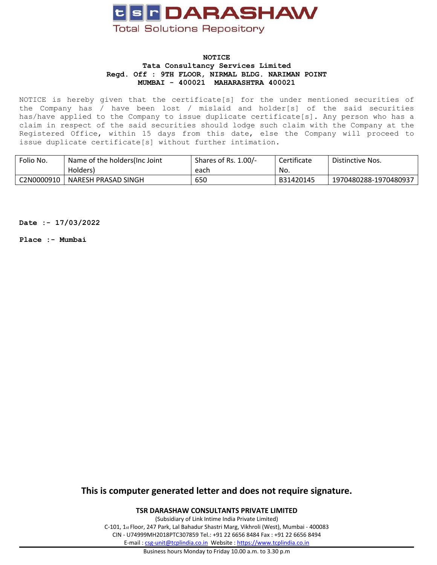

#### **NOTICE Tata Consultancy Services Limited Regd. Off : 9TH FLOOR, NIRMAL BLDG. NARIMAN POINT MUMBAI - 400021 MAHARASHTRA 400021**

NOTICE is hereby given that the certificate[s] for the under mentioned securities of the Company has / have been lost / mislaid and holder[s] of the said securities has/have applied to the Company to issue duplicate certificate[s]. Any person who has <sup>a</sup> claim in respect of the said securities should lodge such claim with the Company at the Registered Office, within 15 days from this date, else the Company will proceed to issue duplicate certificate[s] without further intimation.

| Folio No.  | Name of the holders(Inc Joint | Shares of Rs. 1.00/- | Certificate | Distinctive Nos.      |
|------------|-------------------------------|----------------------|-------------|-----------------------|
|            | Holders)                      | each                 | No.         |                       |
| C2N0000910 | NARESH PRASAD SINGH           | 650                  | B31420145   | 1970480288-1970480937 |

**Date :- 17/03/2022**

**Place :- Mumbai**

**This is computer generated letter and does not require signature.**

**TSR DARASHAW CONSULTANTS PRIVATE LIMITED**

(Subsidiary of Link Intime India Private Limited) C-101, 1st Floor, 247 Park, Lal Bahadur Shastri Marg, Vikhroli (West), Mumbai - 400083 CIN - U74999MH2018PTC307859 Tel.: +91 22 6656 8484 Fax : +91 22 6656 8494 E-mail : [csg-unit@tcplindia.co.in](mailto:csg-unit@tcplindia.co.in) Website : <https://www.tcplindia.co.in>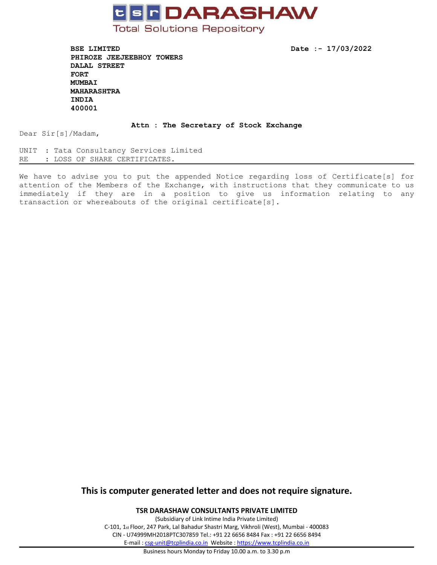

**BSE LIMITED Date :- 17/03/2022 PHIROZE JEEJEEBHOY TOWERS DALAL STREET FORT MUMBAI MAHARASHTRA INDIA 400001**

#### **Attn : The Secretary of Stock Exchange**

Dear Sir[s]/Madam,

UNIT : Tata Consultancy Services Limited RE : LOSS OF SHARE CERTIFICATES.

We have to advise you to put the appended Notice regarding loss of Certificate[s] for attention of the Members of the Exchange, with instructions that they communicate to us immediately if they are in <sup>a</sup> position to give us information relating to any transaction or whereabouts of the original certificate[s].

### **This is computer generated letter and does not require signature.**

**TSR DARASHAW CONSULTANTS PRIVATE LIMITED**

(Subsidiary of Link Intime India Private Limited) C-101, 1st Floor, 247 Park, Lal Bahadur Shastri Marg, Vikhroli (West), Mumbai - 400083 CIN - U74999MH2018PTC307859 Tel.: +91 22 6656 8484 Fax : +91 22 6656 8494 E-mail : [csg-unit@tcplindia.co.in](mailto:csg-unit@tcplindia.co.in) Website : <https://www.tcplindia.co.in>